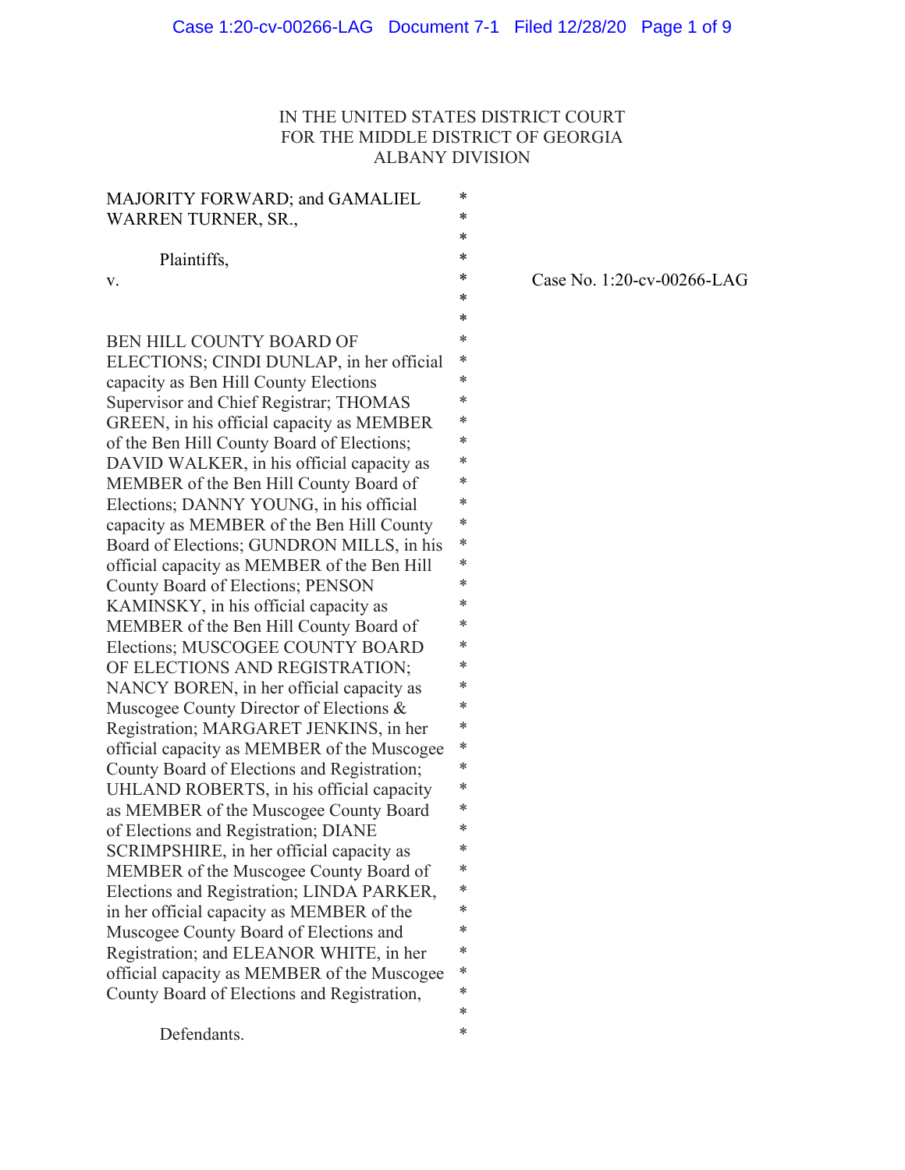# IN THE UNITED STATES DISTRICT COURT FOR THE MIDDLE DISTRICT OF GEORGIA ALBANY DIVISION

| MAJORITY FORWARD; and GAMALIEL              | * |
|---------------------------------------------|---|
| <b>WARREN TURNER, SR.,</b>                  | * |
|                                             | * |
| Plaintiffs,                                 | * |
| v.                                          | * |
|                                             | * |
|                                             | * |
| BEN HILL COUNTY BOARD OF                    | * |
| ELECTIONS; CINDI DUNLAP, in her official    | * |
| capacity as Ben Hill County Elections       | * |
| Supervisor and Chief Registrar; THOMAS      | * |
| GREEN, in his official capacity as MEMBER   | * |
| of the Ben Hill County Board of Elections;  | * |
| DAVID WALKER, in his official capacity as   | * |
| MEMBER of the Ben Hill County Board of      | * |
| Elections; DANNY YOUNG, in his official     | * |
| capacity as MEMBER of the Ben Hill County   | * |
| Board of Elections; GUNDRON MILLS, in his   | * |
| official capacity as MEMBER of the Ben Hill | * |
| County Board of Elections; PENSON           | * |
| KAMINSKY, in his official capacity as       | * |
| MEMBER of the Ben Hill County Board of      | * |
| Elections; MUSCOGEE COUNTY BOARD            | * |
| OF ELECTIONS AND REGISTRATION;              | * |
| NANCY BOREN, in her official capacity as    | * |
| Muscogee County Director of Elections &     | * |
| Registration; MARGARET JENKINS, in her      | * |
| official capacity as MEMBER of the Muscogee | * |
| County Board of Elections and Registration; | * |
| UHLAND ROBERTS, in his official capacity    | * |
| as MEMBER of the Muscogee County Board      | * |
| of Elections and Registration; DIANE        | * |
| SCRIMPSHIRE, in her official capacity as    | * |
| MEMBER of the Muscogee County Board of      | * |
| Elections and Registration; LINDA PARKER,   | * |
| in her official capacity as MEMBER of the   | * |
| Muscogee County Board of Elections and      | ∗ |
| Registration; and ELEANOR WHITE, in her     | * |
| official capacity as MEMBER of the Muscogee | * |
| County Board of Elections and Registration, | * |
|                                             | * |
| Defendants.                                 | * |

Case No. 1:20-cv-00266-LAG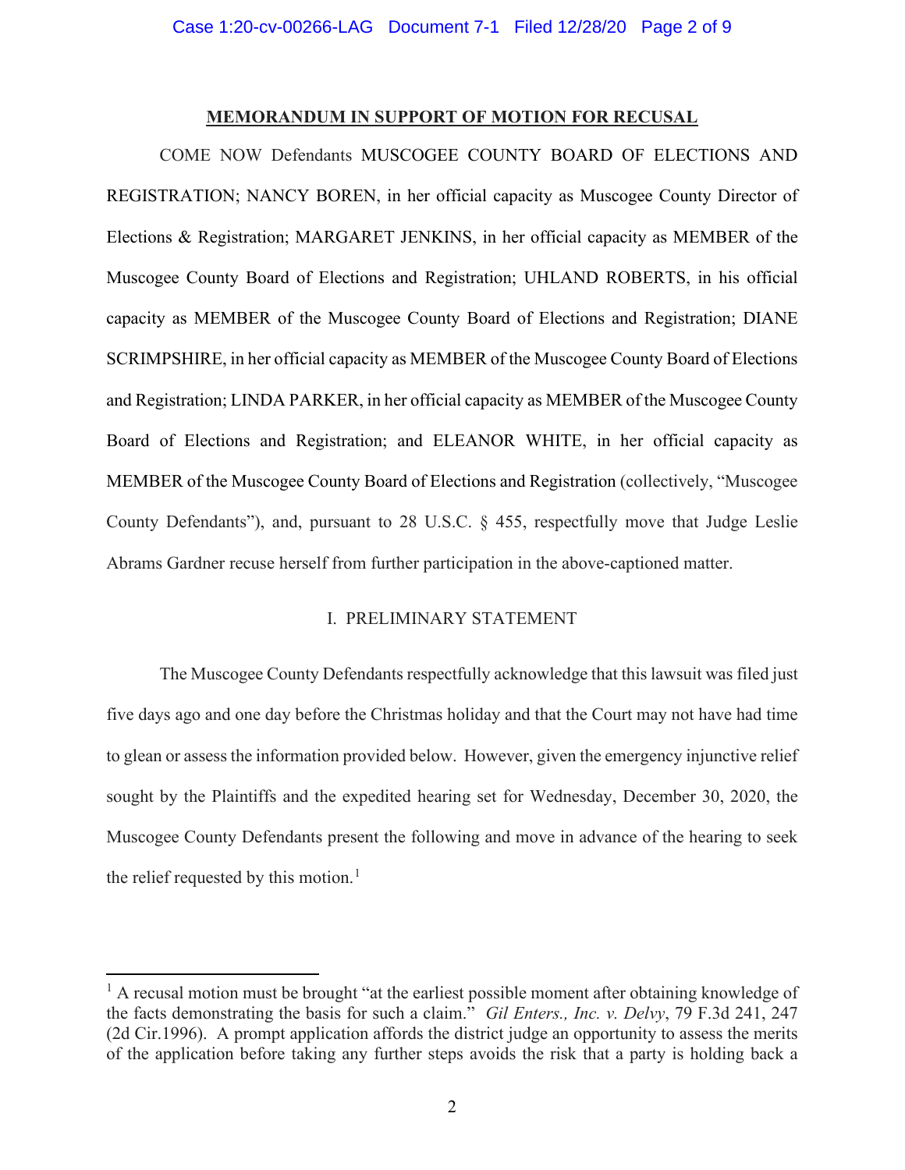# **MEMORANDUM IN SUPPORT OF MOTION FOR RECUSAL**

COME NOW Defendants MUSCOGEE COUNTY BOARD OF ELECTIONS AND REGISTRATION; NANCY BOREN, in her official capacity as Muscogee County Director of Elections & Registration; MARGARET JENKINS, in her official capacity as MEMBER of the Muscogee County Board of Elections and Registration; UHLAND ROBERTS, in his official capacity as MEMBER of the Muscogee County Board of Elections and Registration; DIANE SCRIMPSHIRE, in her official capacity as MEMBER of the Muscogee County Board of Elections and Registration; LINDA PARKER, in her official capacity as MEMBER of the Muscogee County Board of Elections and Registration; and ELEANOR WHITE, in her official capacity as MEMBER of the Muscogee County Board of Elections and Registration (collectively, "Muscogee County Defendants"), and, pursuant to 28 U.S.C. § 455, respectfully move that Judge Leslie Abrams Gardner recuse herself from further participation in the above-captioned matter.

# I. PRELIMINARY STATEMENT

The Muscogee County Defendants respectfully acknowledge that this lawsuit was filed just five days ago and one day before the Christmas holiday and that the Court may not have had time to glean or assess the information provided below. However, given the emergency injunctive relief sought by the Plaintiffs and the expedited hearing set for Wednesday, December 30, 2020, the Muscogee County Defendants present the following and move in advance of the hearing to seek the relief requested by this motion.<sup>[1](#page-1-0)</sup>

<span id="page-1-0"></span> $<sup>1</sup>$  A recusal motion must be brought "at the earliest possible moment after obtaining knowledge of</sup> the facts demonstrating the basis for such a claim." *Gil Enters., Inc. v. Delvy*, 79 F.3d 241, 247 (2d Cir.1996). A prompt application affords the district judge an opportunity to assess the merits of the application before taking any further steps avoids the risk that a party is holding back a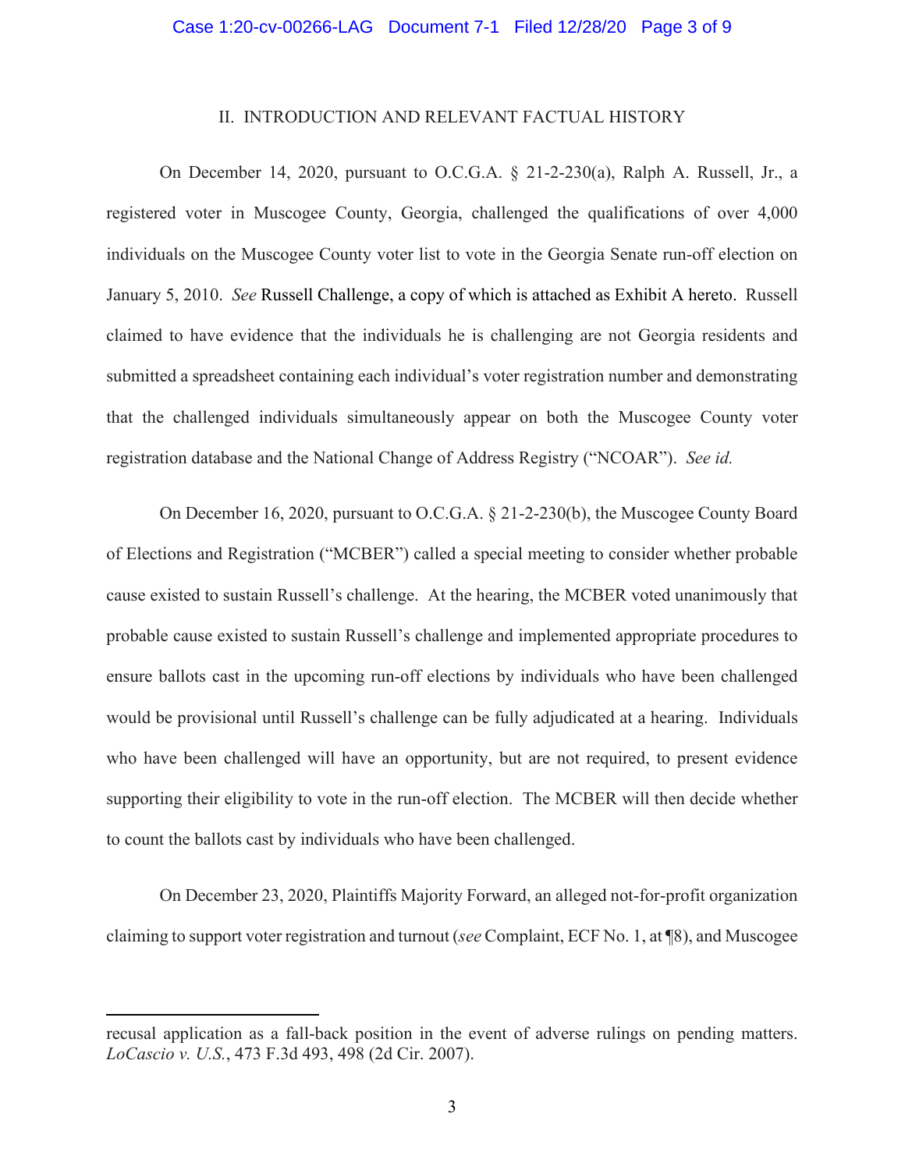### II. INTRODUCTION AND RELEVANT FACTUAL HISTORY

On December 14, 2020, pursuant to O.C.G.A. § 21-2-230(a), Ralph A. Russell, Jr., a registered voter in Muscogee County, Georgia, challenged the qualifications of over 4,000 individuals on the Muscogee County voter list to vote in the Georgia Senate run-off election on January 5, 2010. *See* Russell Challenge, a copy of which is attached as Exhibit A hereto. Russell claimed to have evidence that the individuals he is challenging are not Georgia residents and submitted a spreadsheet containing each individual's voter registration number and demonstrating that the challenged individuals simultaneously appear on both the Muscogee County voter registration database and the National Change of Address Registry ("NCOAR"). *See id.*

On December 16, 2020, pursuant to O.C.G.A. § 21-2-230(b), the Muscogee County Board of Elections and Registration ("MCBER") called a special meeting to consider whether probable cause existed to sustain Russell's challenge. At the hearing, the MCBER voted unanimously that probable cause existed to sustain Russell's challenge and implemented appropriate procedures to ensure ballots cast in the upcoming run-off elections by individuals who have been challenged would be provisional until Russell's challenge can be fully adjudicated at a hearing. Individuals who have been challenged will have an opportunity, but are not required, to present evidence supporting their eligibility to vote in the run-off election. The MCBER will then decide whether to count the ballots cast by individuals who have been challenged.

On December 23, 2020, Plaintiffs Majority Forward, an alleged not-for-profit organization claiming to support voter registration and turnout (*see* Complaint, ECF No. 1, at ¶8), and Muscogee

recusal application as a fall-back position in the event of adverse rulings on pending matters. *LoCascio v. U.S.*, 473 F.3d 493, 498 (2d Cir. 2007).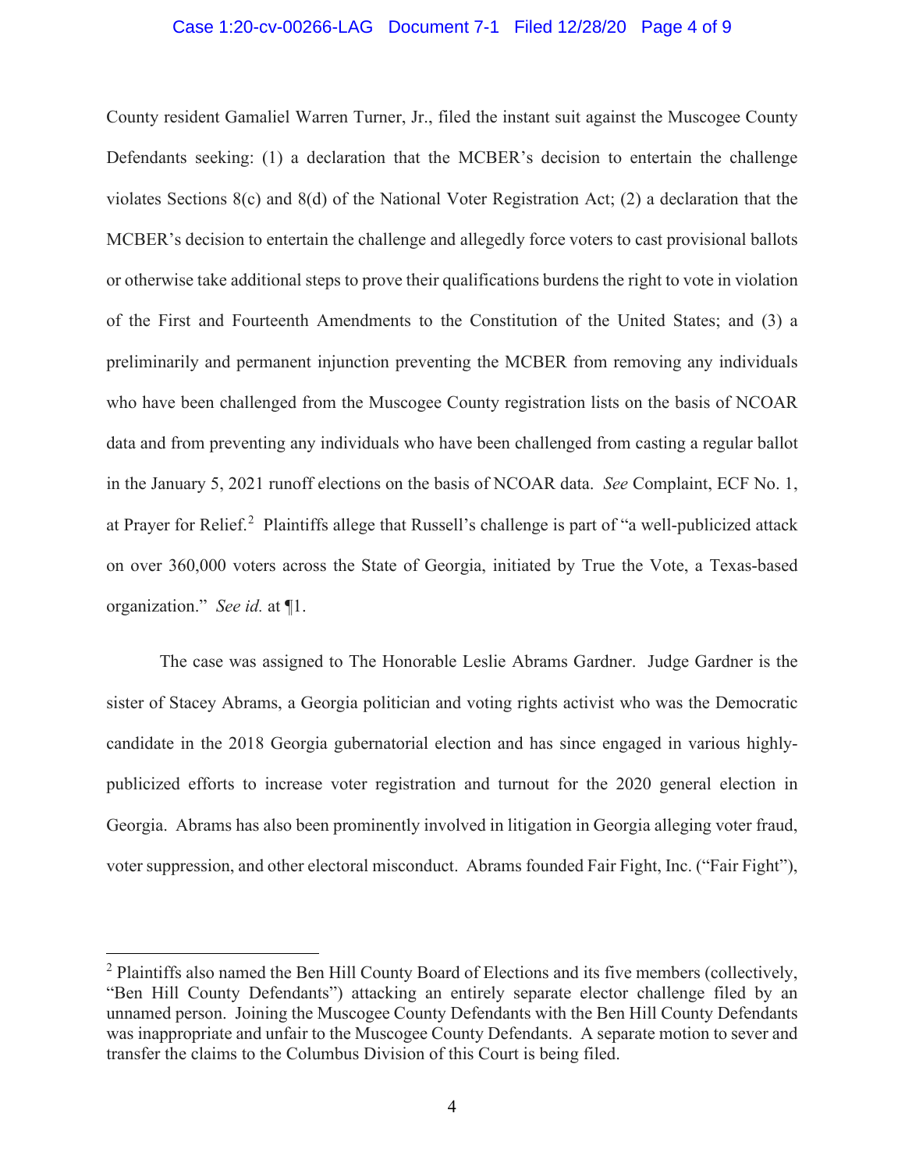### Case 1:20-cv-00266-LAG Document 7-1 Filed 12/28/20 Page 4 of 9

County resident Gamaliel Warren Turner, Jr., filed the instant suit against the Muscogee County Defendants seeking: (1) a declaration that the MCBER's decision to entertain the challenge violates Sections 8(c) and 8(d) of the National Voter Registration Act; (2) a declaration that the MCBER's decision to entertain the challenge and allegedly force voters to cast provisional ballots or otherwise take additional steps to prove their qualifications burdens the right to vote in violation of the First and Fourteenth Amendments to the Constitution of the United States; and (3) a preliminarily and permanent injunction preventing the MCBER from removing any individuals who have been challenged from the Muscogee County registration lists on the basis of NCOAR data and from preventing any individuals who have been challenged from casting a regular ballot in the January 5, 2021 runoff elections on the basis of NCOAR data. *See* Complaint, ECF No. 1, at Prayer for Relief.<sup>[2](#page-3-0)</sup> Plaintiffs allege that Russell's challenge is part of "a well-publicized attack on over 360,000 voters across the State of Georgia, initiated by True the Vote, a Texas-based organization." *See id.* at ¶1.

The case was assigned to The Honorable Leslie Abrams Gardner. Judge Gardner is the sister of Stacey Abrams, a Georgia politician and voting rights activist who was the Democratic candidate in the 2018 Georgia gubernatorial election and has since engaged in various highlypublicized efforts to increase voter registration and turnout for the 2020 general election in Georgia. Abrams has also been prominently involved in litigation in Georgia alleging voter fraud, voter suppression, and other electoral misconduct. Abrams founded Fair Fight, Inc. ("Fair Fight"),

<span id="page-3-0"></span><sup>&</sup>lt;sup>2</sup> Plaintiffs also named the Ben Hill County Board of Elections and its five members (collectively, "Ben Hill County Defendants") attacking an entirely separate elector challenge filed by an unnamed person. Joining the Muscogee County Defendants with the Ben Hill County Defendants was inappropriate and unfair to the Muscogee County Defendants. A separate motion to sever and transfer the claims to the Columbus Division of this Court is being filed.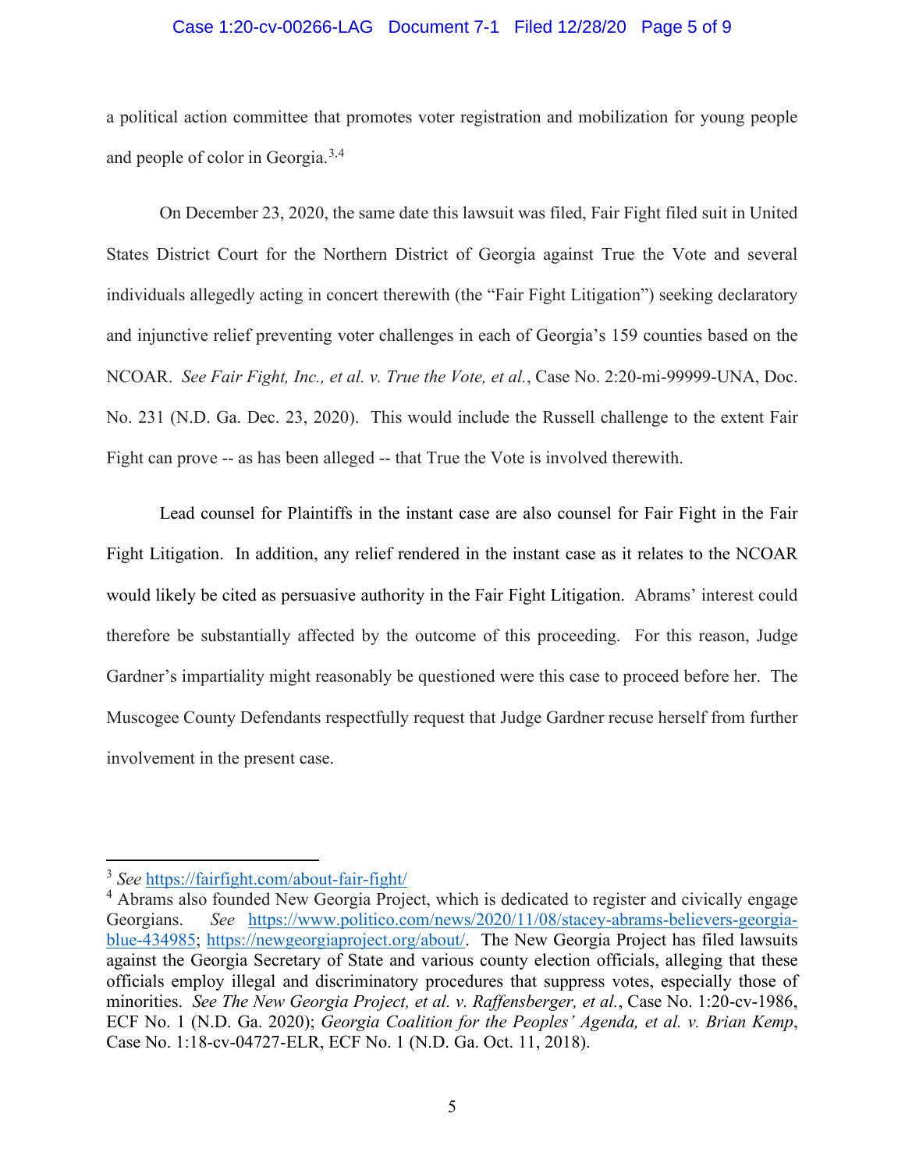## Case 1:20-cv-00266-LAG Document 7-1 Filed 12/28/20 Page 5 of 9

a political action committee that promotes voter registration and mobilization for young people and people of color in Georgia.<sup>[3](#page-4-0),[4](#page-4-1)</sup>

On December 23, 2020, the same date this lawsuit was filed, Fair Fight filed suit in United States District Court for the Northern District of Georgia against True the Vote and several individuals allegedly acting in concert therewith (the "Fair Fight Litigation") seeking declaratory and injunctive relief preventing voter challenges in each of Georgia's 159 counties based on the NCOAR. *See Fair Fight, Inc., et al. v. True the Vote, et al.*, Case No. 2:20-mi-99999-UNA, Doc. No. 231 (N.D. Ga. Dec. 23, 2020). This would include the Russell challenge to the extent Fair Fight can prove -- as has been alleged -- that True the Vote is involved therewith.

Lead counsel for Plaintiffs in the instant case are also counsel for Fair Fight in the Fair Fight Litigation. In addition, any relief rendered in the instant case as it relates to the NCOAR would likely be cited as persuasive authority in the Fair Fight Litigation. Abrams' interest could therefore be substantially affected by the outcome of this proceeding. For this reason, Judge Gardner's impartiality might reasonably be questioned were this case to proceed before her. The Muscogee County Defendants respectfully request that Judge Gardner recuse herself from further involvement in the present case.

<span id="page-4-0"></span><sup>3</sup> *See* <https://fairfight.com/about-fair-fight/>

<span id="page-4-1"></span><sup>&</sup>lt;sup>4</sup> Abrams also founded New Georgia Project, which is dedicated to register and civically engage Georgians. *See* [https://www.politico.com/news/2020/11/08/stacey-abrams-believers-georgia](https://www.politico.com/news/2020/11/08/stacey-abrams-believers-georgia-blue-434985)[blue-434985;](https://www.politico.com/news/2020/11/08/stacey-abrams-believers-georgia-blue-434985) [https://newgeorgiaproject.org/about/.](https://newgeorgiaproject.org/about/) The New Georgia Project has filed lawsuits against the Georgia Secretary of State and various county election officials, alleging that these officials employ illegal and discriminatory procedures that suppress votes, especially those of minorities. *See The New Georgia Project, et al. v. Raffensberger, et al.*, Case No. 1:20-cv-1986, ECF No. 1 (N.D. Ga. 2020); *Georgia Coalition for the Peoples' Agenda, et al. v. Brian Kemp*, Case No. 1:18-cv-04727-ELR, ECF No. 1 (N.D. Ga. Oct. 11, 2018).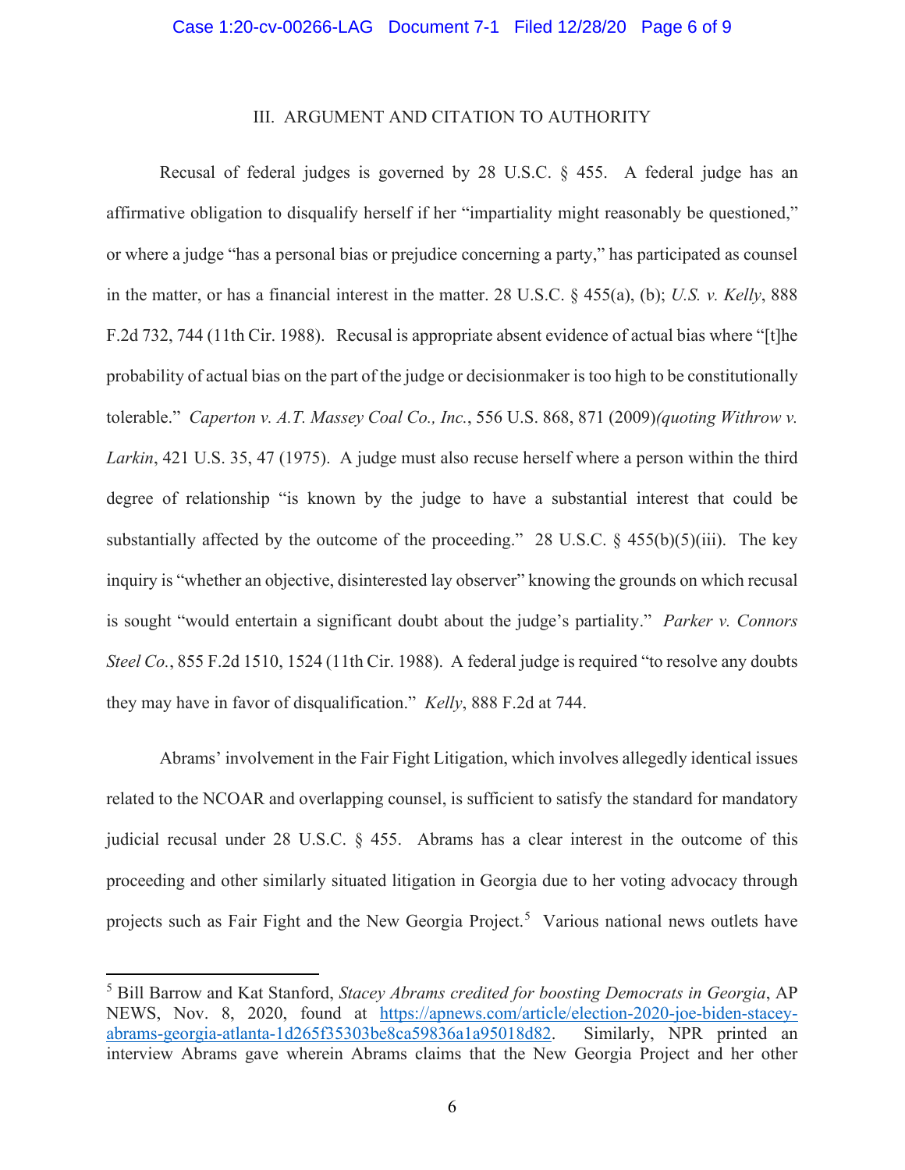### III. ARGUMENT AND CITATION TO AUTHORITY

Recusal of federal judges is governed by 28 U.S.C. § 455. A federal judge has an affirmative obligation to disqualify herself if her "impartiality might reasonably be questioned," or where a judge "has a personal bias or prejudice concerning a party," has participated as counsel in the matter, or has a financial interest in the matter. 28 U.S.C. § 455(a), (b); *U.S. v. Kelly*, 888 F.2d 732, 744 (11th Cir. 1988). Recusal is appropriate absent evidence of actual bias where "[t]he probability of actual bias on the part of the judge or decisionmaker is too high to be constitutionally tolerable." *Caperton v. A.T. Massey Coal Co., Inc.*, 556 U.S. 868, 871 (2009)*(quoting Withrow v. Larkin*, 421 U.S. 35, 47 (1975). A judge must also recuse herself where a person within the third degree of relationship "is known by the judge to have a substantial interest that could be substantially affected by the outcome of the proceeding." 28 U.S.C.  $\S$  455(b)(5)(iii). The key inquiry is "whether an objective, disinterested lay observer" knowing the grounds on which recusal is sought "would entertain a significant doubt about the judge's partiality." *Parker v. Connors Steel Co.*, 855 F.2d 1510, 1524 (11th Cir. 1988). A federal judge is required "to resolve any doubts they may have in favor of disqualification." *Kelly*, 888 F.2d at 744.

Abrams' involvement in the Fair Fight Litigation, which involves allegedly identical issues related to the NCOAR and overlapping counsel, is sufficient to satisfy the standard for mandatory judicial recusal under 28 U.S.C. § 455. Abrams has a clear interest in the outcome of this proceeding and other similarly situated litigation in Georgia due to her voting advocacy through projects such as Fair Fight and the New Georgia Project.<sup>[5](#page-5-0)</sup> Various national news outlets have

<span id="page-5-0"></span><sup>5</sup> Bill Barrow and Kat Stanford, *Stacey Abrams credited for boosting Democrats in Georgia*, AP NEWS, Nov. 8, 2020, found at [https://apnews.com/article/election-2020-joe-biden-stacey](https://apnews.com/article/election-2020-joe-biden-stacey-abrams-georgia-atlanta-1d265f35303be8ca59836a1a95018d82)[abrams-georgia-atlanta-1d265f35303be8ca59836a1a95018d82.](https://apnews.com/article/election-2020-joe-biden-stacey-abrams-georgia-atlanta-1d265f35303be8ca59836a1a95018d82) Similarly, NPR printed an interview Abrams gave wherein Abrams claims that the New Georgia Project and her other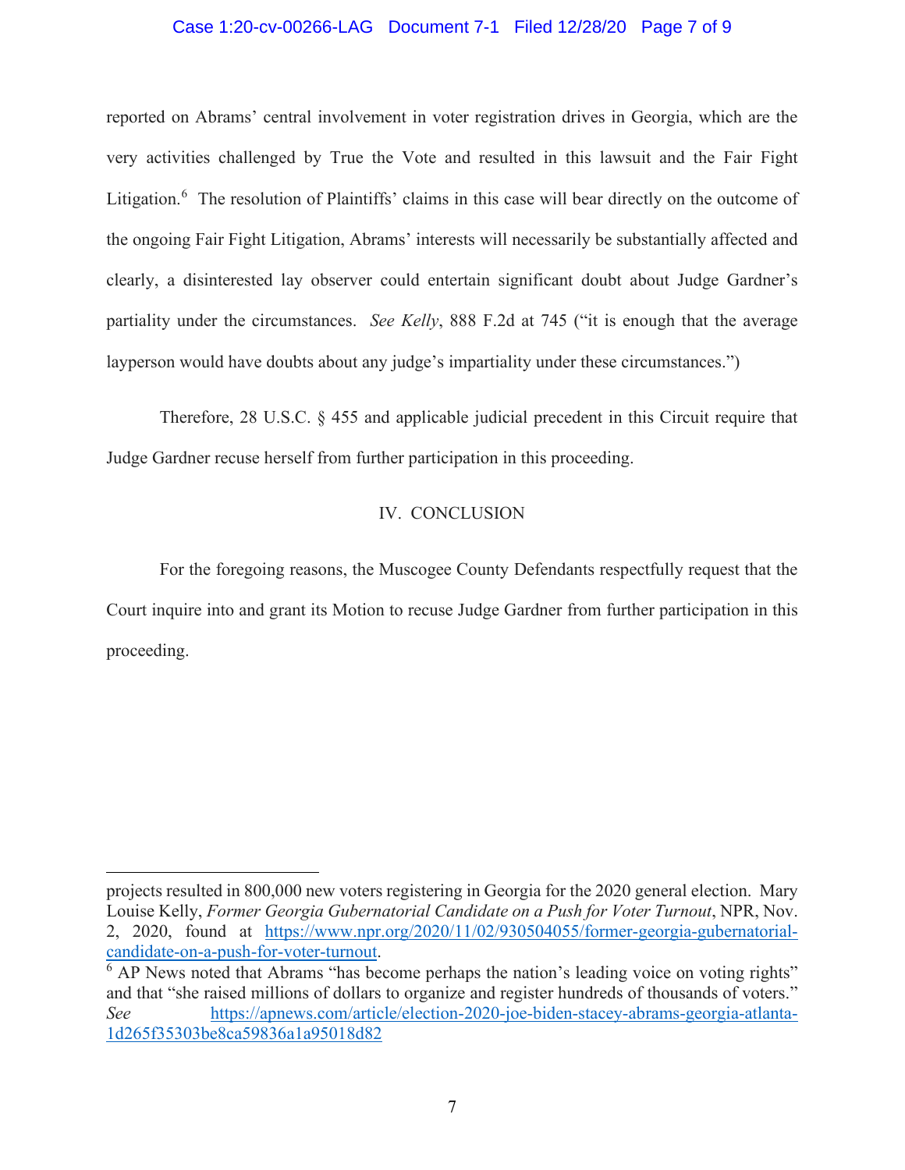## Case 1:20-cv-00266-LAG Document 7-1 Filed 12/28/20 Page 7 of 9

reported on Abrams' central involvement in voter registration drives in Georgia, which are the very activities challenged by True the Vote and resulted in this lawsuit and the Fair Fight Litigation.<sup>[6](#page-6-0)</sup> The resolution of Plaintiffs' claims in this case will bear directly on the outcome of the ongoing Fair Fight Litigation, Abrams' interests will necessarily be substantially affected and clearly, a disinterested lay observer could entertain significant doubt about Judge Gardner's partiality under the circumstances. *See Kelly*, 888 F.2d at 745 ("it is enough that the average layperson would have doubts about any judge's impartiality under these circumstances.")

Therefore, 28 U.S.C. § 455 and applicable judicial precedent in this Circuit require that Judge Gardner recuse herself from further participation in this proceeding.

## IV. CONCLUSION

For the foregoing reasons, the Muscogee County Defendants respectfully request that the Court inquire into and grant its Motion to recuse Judge Gardner from further participation in this proceeding.

projects resulted in 800,000 new voters registering in Georgia for the 2020 general election. Mary Louise Kelly, *Former Georgia Gubernatorial Candidate on a Push for Voter Turnout*, NPR, Nov. 2, 2020, found at [https://www.npr.org/2020/11/02/930504055/former-georgia-gubernatorial-](https://www.npr.org/2020/11/02/930504055/former-georgia-gubernatorial-candidate-on-a-push-for-voter-turnout) $\frac{\text{candidate-on-a-push-for-voter-turnout}}{6}$  AP News noted that Abrams "has become perhaps the nation's leading voice on voting rights"

<span id="page-6-0"></span>and that "she raised millions of dollars to organize and register hundreds of thousands of voters." *See* [https://apnews.com/article/election-2020-joe-biden-stacey-abrams-georgia-atlanta-](https://apnews.com/article/election-2020-joe-biden-stacey-abrams-georgia-atlanta-1d265f35303be8ca59836a1a95018d82)[1d265f35303be8ca59836a1a95018d82](https://apnews.com/article/election-2020-joe-biden-stacey-abrams-georgia-atlanta-1d265f35303be8ca59836a1a95018d82)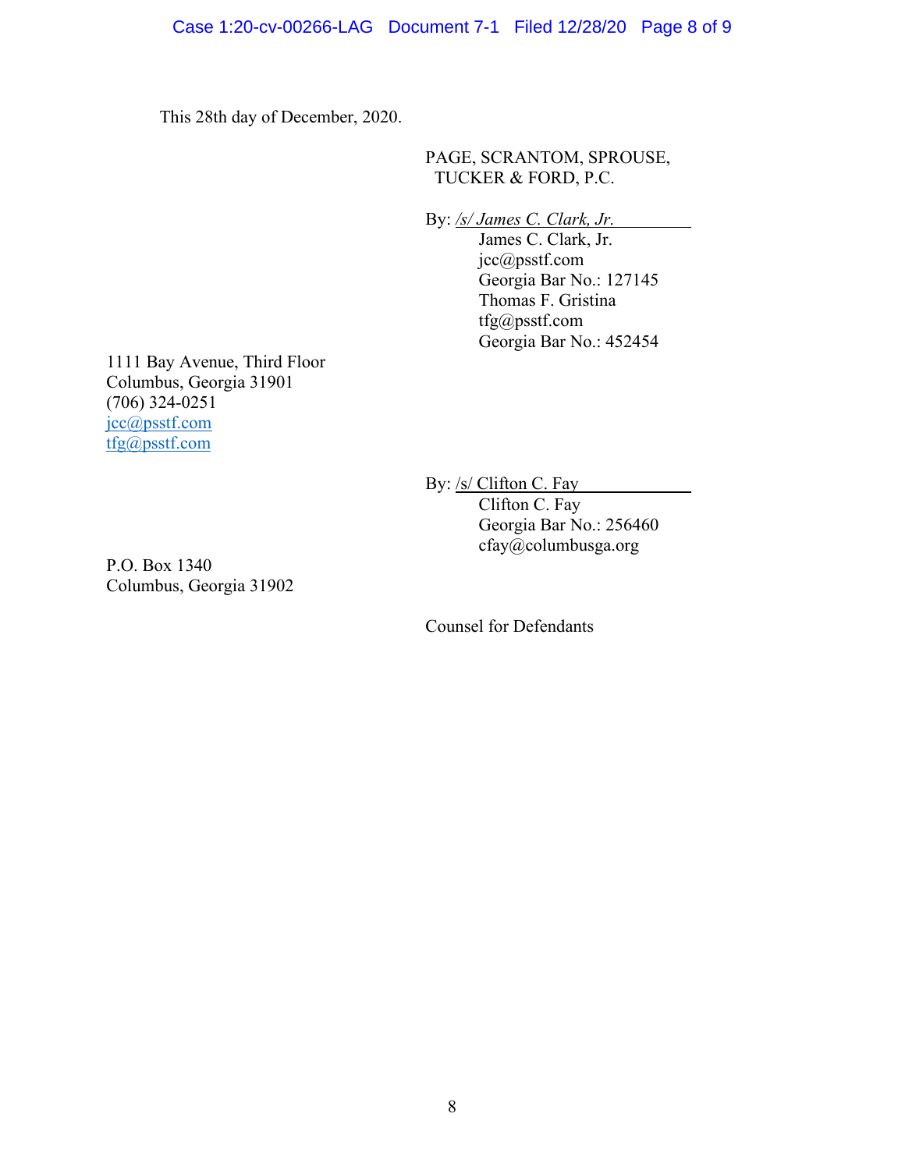This 28th day of December, 2020.

PAGE, SCRANTOM, SPROUSE, TUCKER & FORD, P.C.

By: */s/ James C. Clark, Jr.*

James C. Clark, Jr. jcc@psstf.com Georgia Bar No.: 127145 Thomas F. Gristina tfg@psstf.com Georgia Bar No.: 452454

1111 Bay Avenue, Third Floor Columbus, Georgia 31901 (706) 324-0251 jcc@psstf.com [tfg@psstf.com](mailto:tfg@psstf.com)

> By: /s/ Clifton C. Fay Clifton C. Fay Georgia Bar No.: 256460

> > cfay@columbusga.org

P.O. Box 1340 Columbus, Georgia 31902

Counsel for Defendants